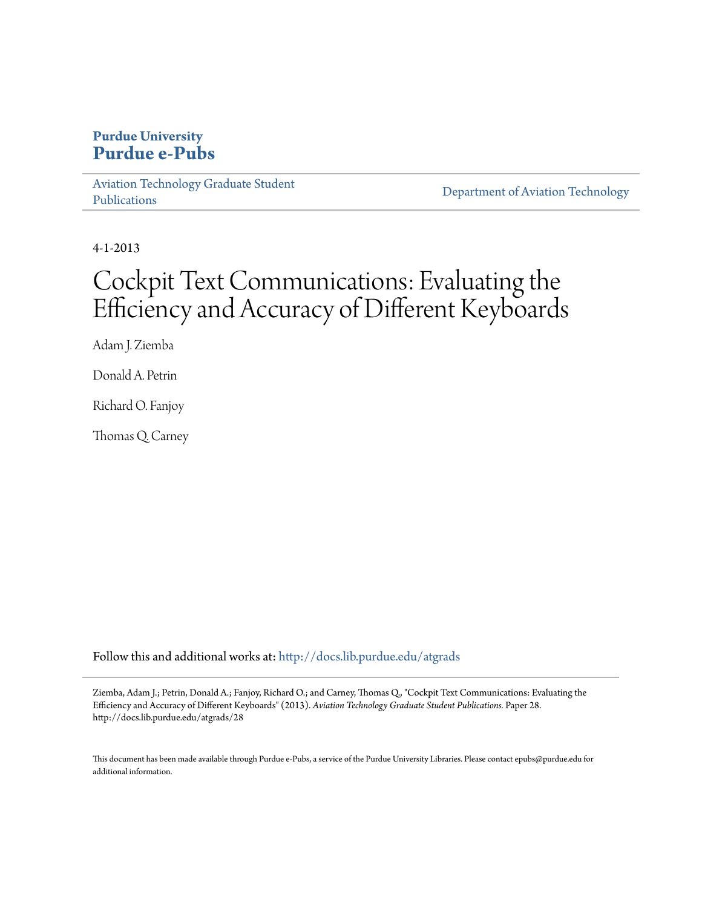## **Purdue University [Purdue e-Pubs](http://docs.lib.purdue.edu?utm_source=docs.lib.purdue.edu%2Fatgrads%2F28&utm_medium=PDF&utm_campaign=PDFCoverPages)**

[Aviation Technology Graduate Student](http://docs.lib.purdue.edu/atgrads?utm_source=docs.lib.purdue.edu%2Fatgrads%2F28&utm_medium=PDF&utm_campaign=PDFCoverPages) [Publications](http://docs.lib.purdue.edu/atgrads?utm_source=docs.lib.purdue.edu%2Fatgrads%2F28&utm_medium=PDF&utm_campaign=PDFCoverPages)

[Department of Aviation Technology](http://docs.lib.purdue.edu/avtech?utm_source=docs.lib.purdue.edu%2Fatgrads%2F28&utm_medium=PDF&utm_campaign=PDFCoverPages)

4-1-2013

# Cockpit Text Communications: Evaluating the Efficiency and Accuracy of Different Keyboards

Adam J. Ziemba

Donald A. Petrin

Richard O. Fanjoy

Thomas Q. Carney

Follow this and additional works at: [http://docs.lib.purdue.edu/atgrads](http://docs.lib.purdue.edu/atgrads?utm_source=docs.lib.purdue.edu%2Fatgrads%2F28&utm_medium=PDF&utm_campaign=PDFCoverPages)

Ziemba, Adam J.; Petrin, Donald A.; Fanjoy, Richard O.; and Carney, Thomas Q., "Cockpit Text Communications: Evaluating the Efficiency and Accuracy of Different Keyboards" (2013). *Aviation Technology Graduate Student Publications.* Paper 28. http://docs.lib.purdue.edu/atgrads/28

This document has been made available through Purdue e-Pubs, a service of the Purdue University Libraries. Please contact epubs@purdue.edu for additional information.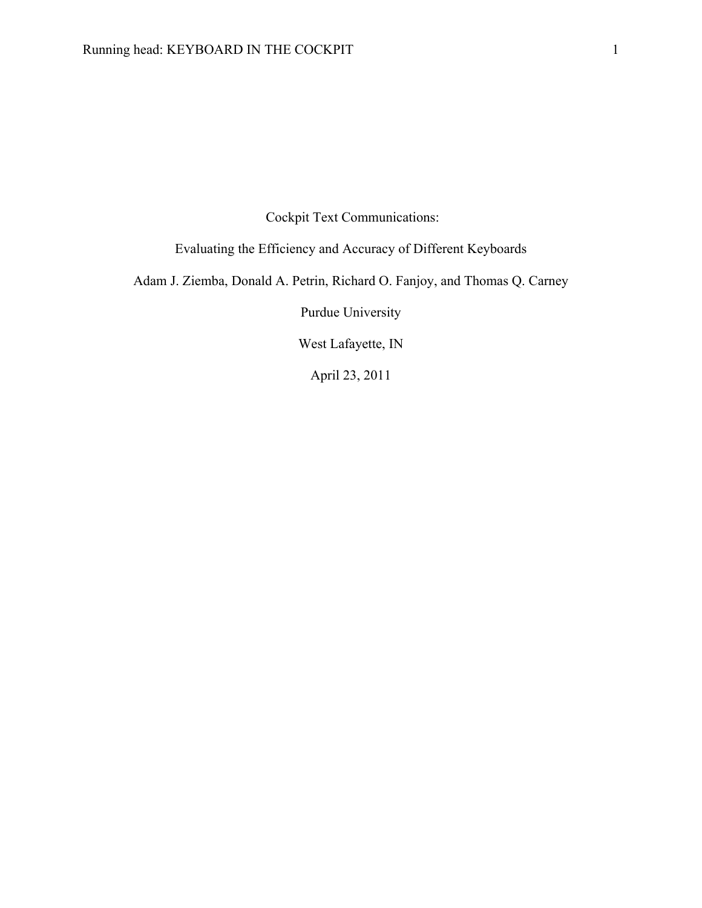Cockpit Text Communications:

Evaluating the Efficiency and Accuracy of Different Keyboards

Adam J. Ziemba, Donald A. Petrin, Richard O. Fanjoy, and Thomas Q. Carney

Purdue University

West Lafayette, IN

April 23, 2011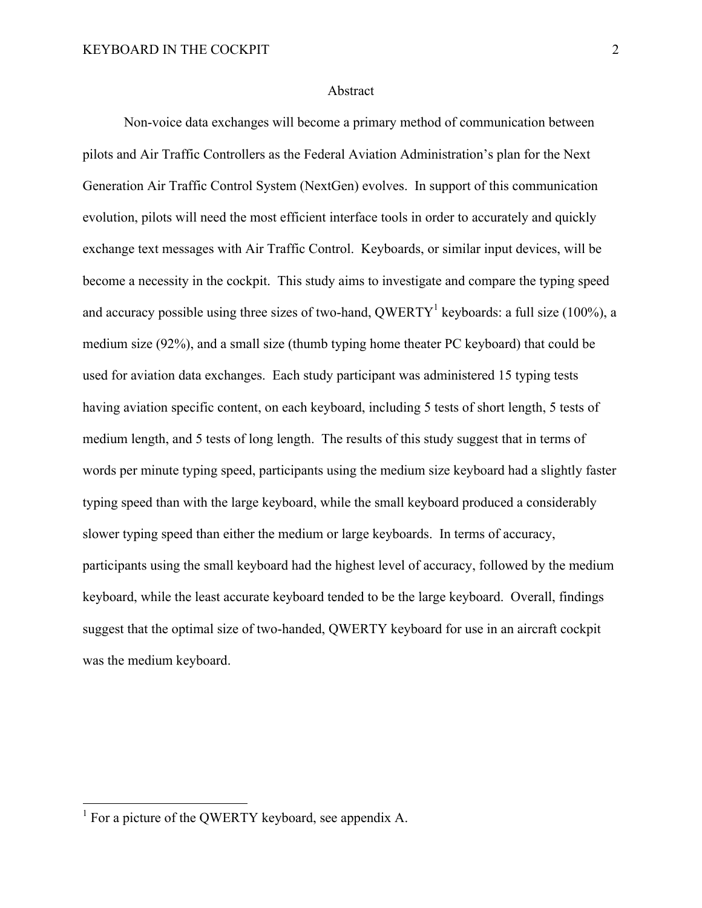## Abstract

Non-voice data exchanges will become a primary method of communication between pilots and Air Traffic Controllers as the Federal Aviation Administration's plan for the Next Generation Air Traffic Control System (NextGen) evolves. In support of this communication evolution, pilots will need the most efficient interface tools in order to accurately and quickly exchange text messages with Air Traffic Control. Keyboards, or similar input devices, will be become a necessity in the cockpit. This study aims to investigate and compare the typing speed and accuracy possible using three sizes of two-hand, QWERTY<sup>1</sup> keyboards: a full size (100%), a medium size (92%), and a small size (thumb typing home theater PC keyboard) that could be used for aviation data exchanges. Each study participant was administered 15 typing tests having aviation specific content, on each keyboard, including 5 tests of short length, 5 tests of medium length, and 5 tests of long length. The results of this study suggest that in terms of words per minute typing speed, participants using the medium size keyboard had a slightly faster typing speed than with the large keyboard, while the small keyboard produced a considerably slower typing speed than either the medium or large keyboards. In terms of accuracy, participants using the small keyboard had the highest level of accuracy, followed by the medium keyboard, while the least accurate keyboard tended to be the large keyboard. Overall, findings suggest that the optimal size of two-handed, QWERTY keyboard for use in an aircraft cockpit was the medium keyboard.

<sup>&</sup>lt;sup>1</sup> For a picture of the QWERTY keyboard, see appendix A.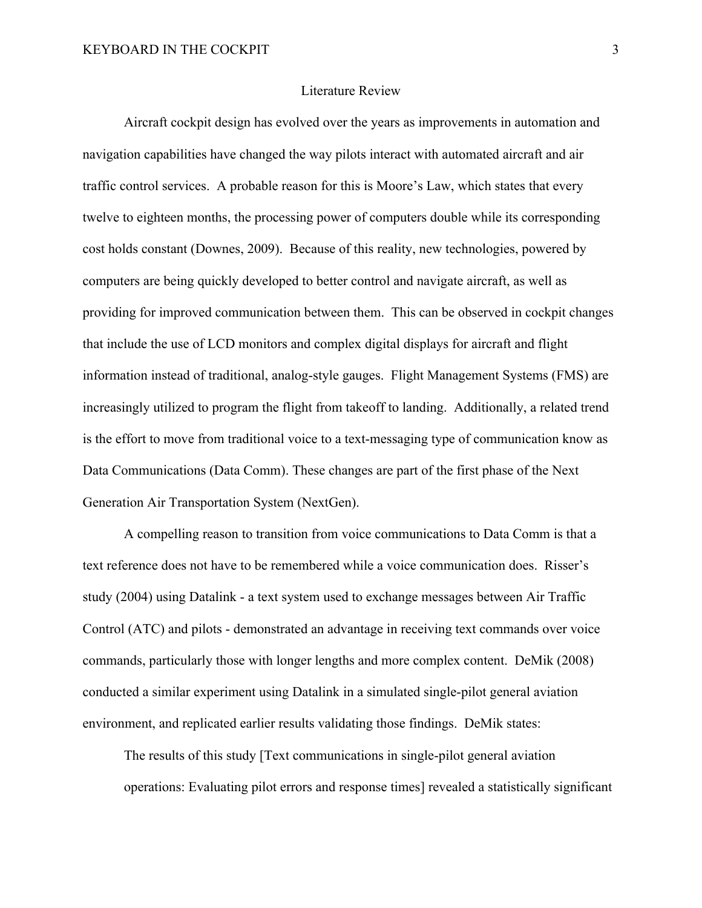## Literature Review

Aircraft cockpit design has evolved over the years as improvements in automation and navigation capabilities have changed the way pilots interact with automated aircraft and air traffic control services. A probable reason for this is Moore's Law, which states that every twelve to eighteen months, the processing power of computers double while its corresponding cost holds constant (Downes, 2009). Because of this reality, new technologies, powered by computers are being quickly developed to better control and navigate aircraft, as well as providing for improved communication between them. This can be observed in cockpit changes that include the use of LCD monitors and complex digital displays for aircraft and flight information instead of traditional, analog-style gauges. Flight Management Systems (FMS) are increasingly utilized to program the flight from takeoff to landing. Additionally, a related trend is the effort to move from traditional voice to a text-messaging type of communication know as Data Communications (Data Comm). These changes are part of the first phase of the Next Generation Air Transportation System (NextGen).

A compelling reason to transition from voice communications to Data Comm is that a text reference does not have to be remembered while a voice communication does. Risser's study (2004) using Datalink - a text system used to exchange messages between Air Traffic Control (ATC) and pilots - demonstrated an advantage in receiving text commands over voice commands, particularly those with longer lengths and more complex content. DeMik (2008) conducted a similar experiment using Datalink in a simulated single-pilot general aviation environment, and replicated earlier results validating those findings. DeMik states:

The results of this study [Text communications in single-pilot general aviation operations: Evaluating pilot errors and response times] revealed a statistically significant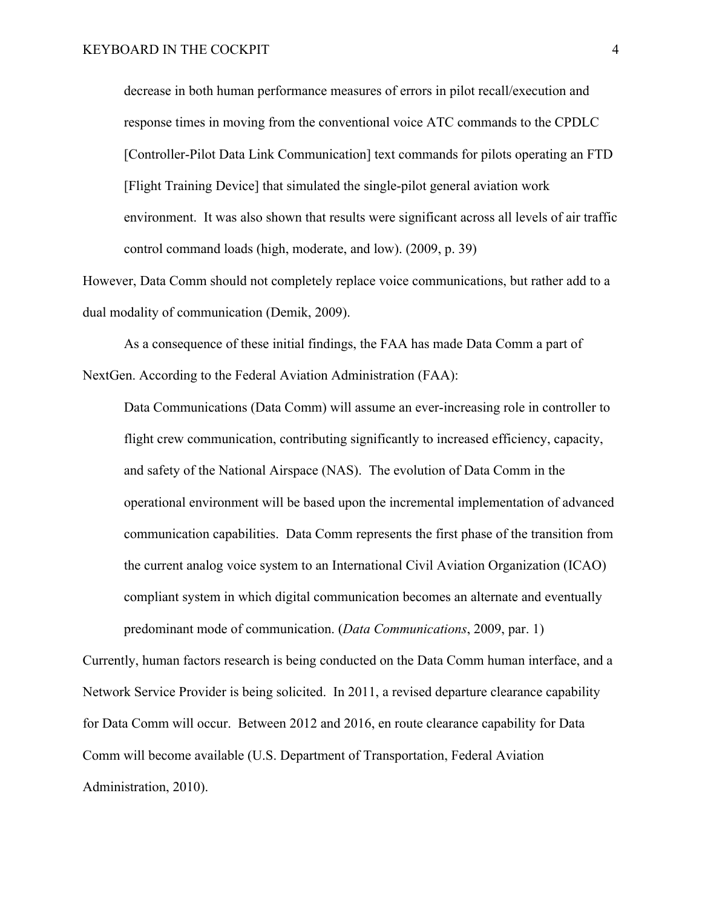decrease in both human performance measures of errors in pilot recall/execution and response times in moving from the conventional voice ATC commands to the CPDLC [Controller-Pilot Data Link Communication] text commands for pilots operating an FTD [Flight Training Device] that simulated the single-pilot general aviation work environment. It was also shown that results were significant across all levels of air traffic control command loads (high, moderate, and low). (2009, p. 39)

However, Data Comm should not completely replace voice communications, but rather add to a dual modality of communication (Demik, 2009).

As a consequence of these initial findings, the FAA has made Data Comm a part of NextGen. According to the Federal Aviation Administration (FAA):

Data Communications (Data Comm) will assume an ever-increasing role in controller to flight crew communication, contributing significantly to increased efficiency, capacity, and safety of the National Airspace (NAS). The evolution of Data Comm in the operational environment will be based upon the incremental implementation of advanced communication capabilities. Data Comm represents the first phase of the transition from the current analog voice system to an International Civil Aviation Organization (ICAO) compliant system in which digital communication becomes an alternate and eventually predominant mode of communication. (*Data Communications*, 2009, par. 1)

Currently, human factors research is being conducted on the Data Comm human interface, and a Network Service Provider is being solicited. In 2011, a revised departure clearance capability for Data Comm will occur. Between 2012 and 2016, en route clearance capability for Data Comm will become available (U.S. Department of Transportation, Federal Aviation Administration, 2010).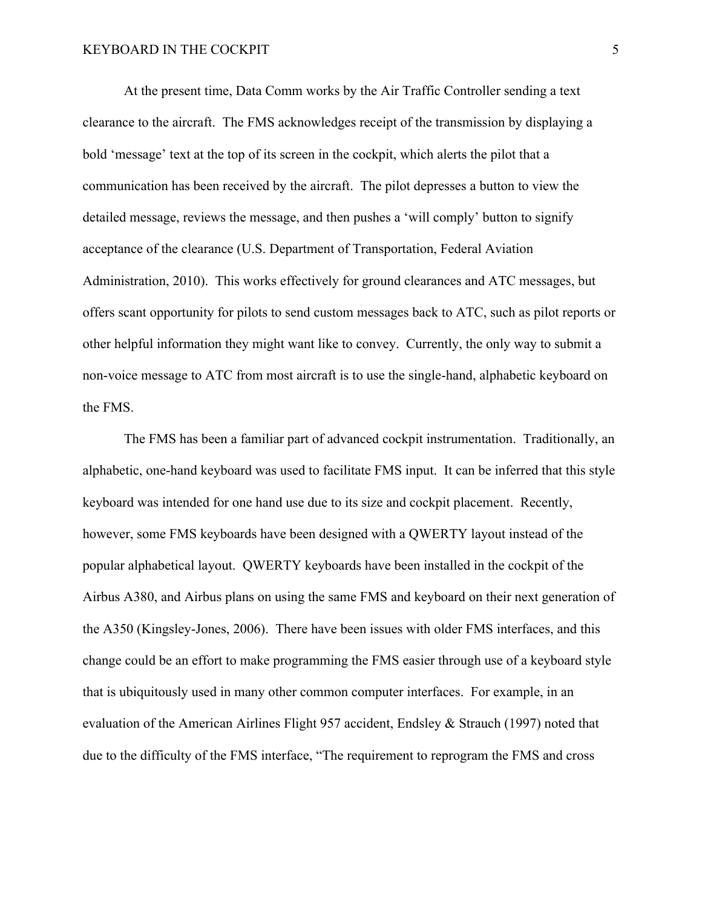At the present time, Data Comm works by the Air Traffic Controller sending a text clearance to the aircraft. The FMS acknowledges receipt of the transmission by displaying a bold 'message' text at the top of its screen in the cockpit, which alerts the pilot that a communication has been received by the aircraft. The pilot depresses a button to view the detailed message, reviews the message, and then pushes a 'will comply' button to signify acceptance of the clearance (U.S. Department of Transportation, Federal Aviation Administration, 2010). This works effectively for ground clearances and ATC messages, but offers scant opportunity for pilots to send custom messages back to ATC, such as pilot reports or other helpful information they might want like to convey. Currently, the only way to submit a non-voice message to ATC from most aircraft is to use the single-hand, alphabetic keyboard on the FMS.

The FMS has been a familiar part of advanced cockpit instrumentation. Traditionally, an alphabetic, one-hand keyboard was used to facilitate FMS input. It can be inferred that this style keyboard was intended for one hand use due to its size and cockpit placement. Recently, however, some FMS keyboards have been designed with a QWERTY layout instead of the popular alphabetical layout. QWERTY keyboards have been installed in the cockpit of the Airbus A380, and Airbus plans on using the same FMS and keyboard on their next generation of the A350 (Kingsley-Jones, 2006). There have been issues with older FMS interfaces, and this change could be an effort to make programming the FMS easier through use of a keyboard style that is ubiquitously used in many other common computer interfaces. For example, in an evaluation of the American Airlines Flight 957 accident, Endsley & Strauch (1997) noted that due to the difficulty of the FMS interface, "The requirement to reprogram the FMS and cross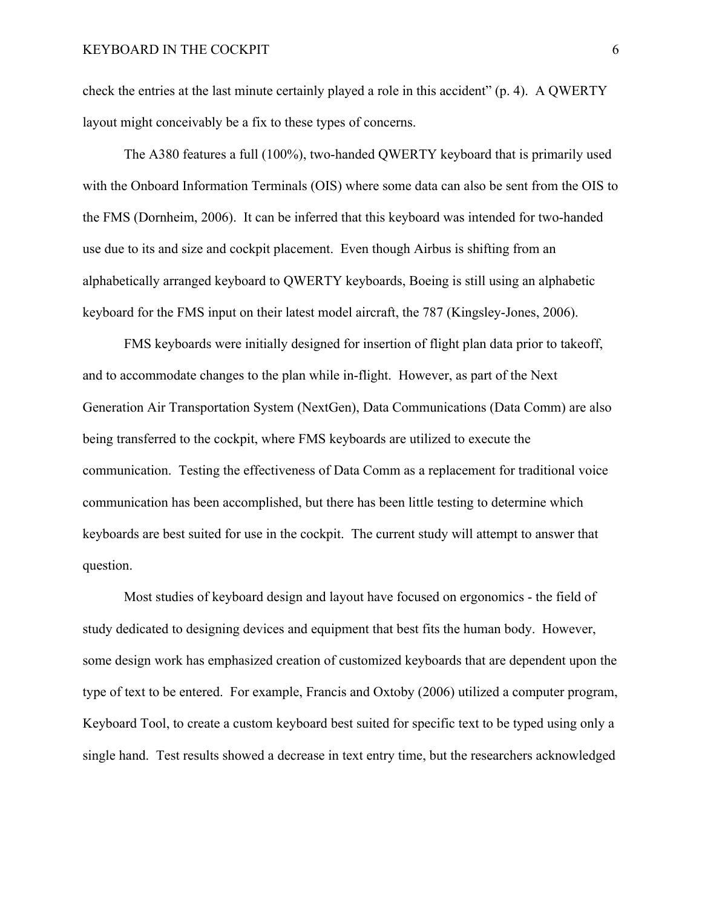check the entries at the last minute certainly played a role in this accident" (p. 4). A QWERTY layout might conceivably be a fix to these types of concerns.

The A380 features a full (100%), two-handed QWERTY keyboard that is primarily used with the Onboard Information Terminals (OIS) where some data can also be sent from the OIS to the FMS (Dornheim, 2006). It can be inferred that this keyboard was intended for two-handed use due to its and size and cockpit placement. Even though Airbus is shifting from an alphabetically arranged keyboard to QWERTY keyboards, Boeing is still using an alphabetic keyboard for the FMS input on their latest model aircraft, the 787 (Kingsley-Jones, 2006).

FMS keyboards were initially designed for insertion of flight plan data prior to takeoff, and to accommodate changes to the plan while in-flight. However, as part of the Next Generation Air Transportation System (NextGen), Data Communications (Data Comm) are also being transferred to the cockpit, where FMS keyboards are utilized to execute the communication. Testing the effectiveness of Data Comm as a replacement for traditional voice communication has been accomplished, but there has been little testing to determine which keyboards are best suited for use in the cockpit. The current study will attempt to answer that question.

Most studies of keyboard design and layout have focused on ergonomics - the field of study dedicated to designing devices and equipment that best fits the human body. However, some design work has emphasized creation of customized keyboards that are dependent upon the type of text to be entered. For example, Francis and Oxtoby (2006) utilized a computer program, Keyboard Tool, to create a custom keyboard best suited for specific text to be typed using only a single hand. Test results showed a decrease in text entry time, but the researchers acknowledged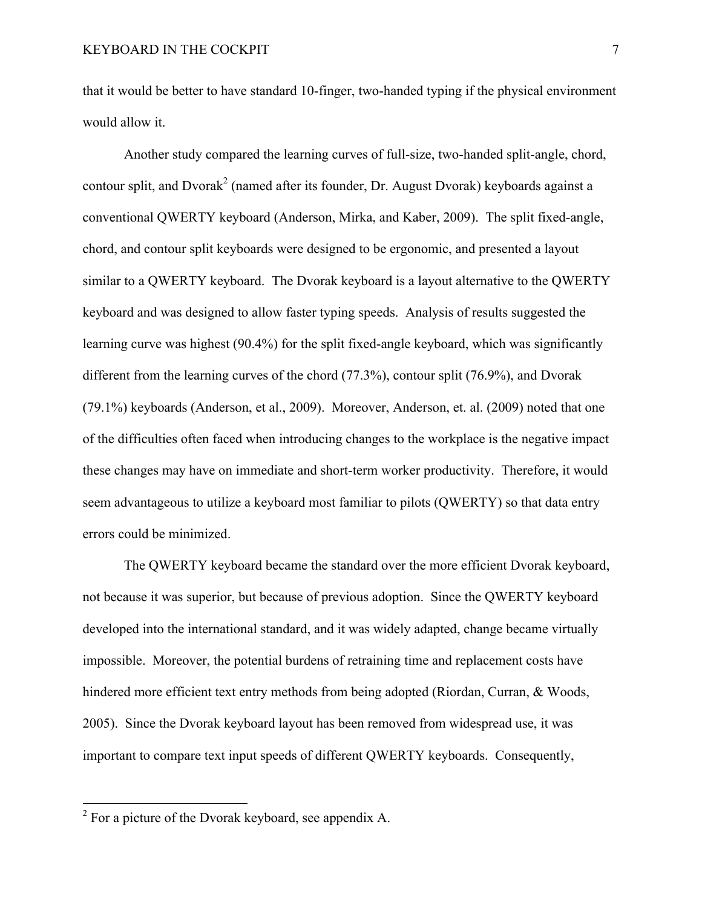that it would be better to have standard 10-finger, two-handed typing if the physical environment would allow it.

Another study compared the learning curves of full-size, two-handed split-angle, chord, contour split, and Dvorak<sup>2</sup> (named after its founder, Dr. August Dvorak) keyboards against a conventional QWERTY keyboard (Anderson, Mirka, and Kaber, 2009). The split fixed-angle, chord, and contour split keyboards were designed to be ergonomic, and presented a layout similar to a QWERTY keyboard. The Dvorak keyboard is a layout alternative to the QWERTY keyboard and was designed to allow faster typing speeds. Analysis of results suggested the learning curve was highest (90.4%) for the split fixed-angle keyboard, which was significantly different from the learning curves of the chord (77.3%), contour split (76.9%), and Dvorak (79.1%) keyboards (Anderson, et al., 2009). Moreover, Anderson, et. al. (2009) noted that one of the difficulties often faced when introducing changes to the workplace is the negative impact these changes may have on immediate and short-term worker productivity. Therefore, it would seem advantageous to utilize a keyboard most familiar to pilots (QWERTY) so that data entry errors could be minimized.

The QWERTY keyboard became the standard over the more efficient Dvorak keyboard, not because it was superior, but because of previous adoption. Since the QWERTY keyboard developed into the international standard, and it was widely adapted, change became virtually impossible. Moreover, the potential burdens of retraining time and replacement costs have hindered more efficient text entry methods from being adopted (Riordan, Curran, & Woods, 2005). Since the Dvorak keyboard layout has been removed from widespread use, it was important to compare text input speeds of different QWERTY keyboards. Consequently,

 $2$  For a picture of the Dvorak keyboard, see appendix A.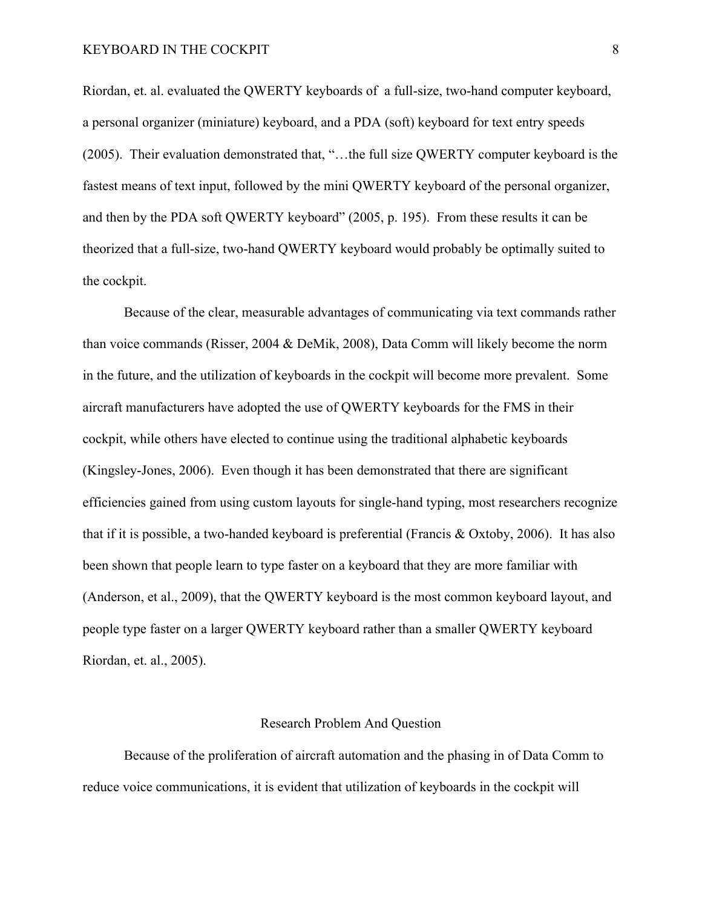## KEYBOARD IN THE COCKPIT 8

Riordan, et. al. evaluated the QWERTY keyboards of a full-size, two-hand computer keyboard, a personal organizer (miniature) keyboard, and a PDA (soft) keyboard for text entry speeds (2005). Their evaluation demonstrated that, "…the full size QWERTY computer keyboard is the fastest means of text input, followed by the mini QWERTY keyboard of the personal organizer, and then by the PDA soft QWERTY keyboard" (2005, p. 195). From these results it can be theorized that a full-size, two-hand QWERTY keyboard would probably be optimally suited to the cockpit.

Because of the clear, measurable advantages of communicating via text commands rather than voice commands (Risser, 2004 & DeMik, 2008), Data Comm will likely become the norm in the future, and the utilization of keyboards in the cockpit will become more prevalent. Some aircraft manufacturers have adopted the use of QWERTY keyboards for the FMS in their cockpit, while others have elected to continue using the traditional alphabetic keyboards (Kingsley-Jones, 2006). Even though it has been demonstrated that there are significant efficiencies gained from using custom layouts for single-hand typing, most researchers recognize that if it is possible, a two-handed keyboard is preferential (Francis & Oxtoby, 2006). It has also been shown that people learn to type faster on a keyboard that they are more familiar with (Anderson, et al., 2009), that the QWERTY keyboard is the most common keyboard layout, and people type faster on a larger QWERTY keyboard rather than a smaller QWERTY keyboard Riordan, et. al., 2005).

#### Research Problem And Question

Because of the proliferation of aircraft automation and the phasing in of Data Comm to reduce voice communications, it is evident that utilization of keyboards in the cockpit will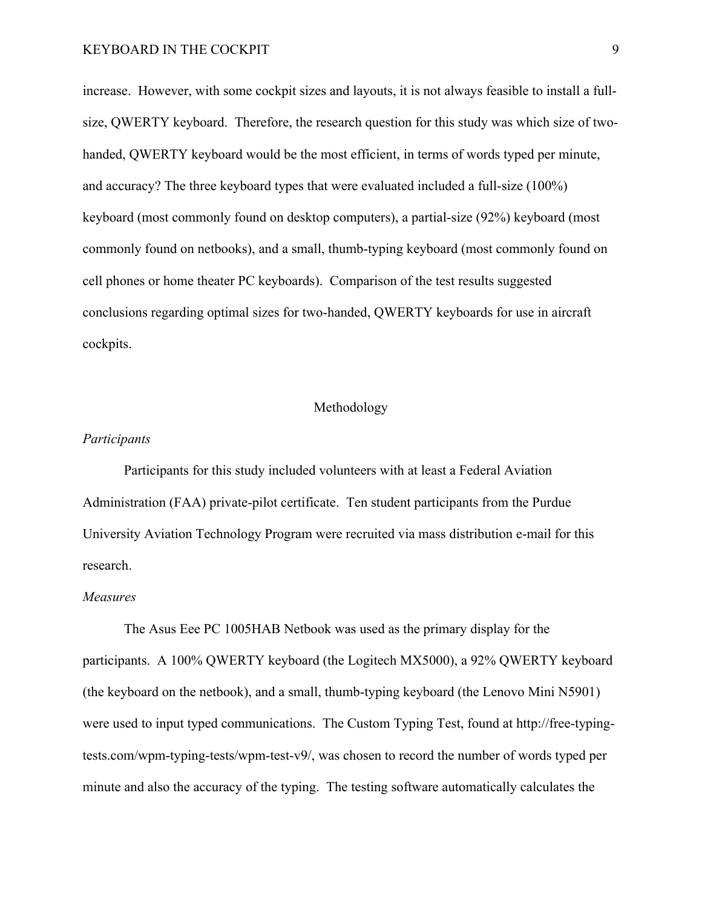## KEYBOARD IN THE COCKPIT 9

increase. However, with some cockpit sizes and layouts, it is not always feasible to install a fullsize, QWERTY keyboard. Therefore, the research question for this study was which size of twohanded, QWERTY keyboard would be the most efficient, in terms of words typed per minute, and accuracy? The three keyboard types that were evaluated included a full-size (100%) keyboard (most commonly found on desktop computers), a partial-size (92%) keyboard (most commonly found on netbooks), and a small, thumb-typing keyboard (most commonly found on cell phones or home theater PC keyboards). Comparison of the test results suggested conclusions regarding optimal sizes for two-handed, QWERTY keyboards for use in aircraft cockpits.

## Methodology

## *Participants*

Participants for this study included volunteers with at least a Federal Aviation Administration (FAA) private-pilot certificate. Ten student participants from the Purdue University Aviation Technology Program were recruited via mass distribution e-mail for this research.

## *Measures*

The Asus Eee PC 1005HAB Netbook was used as the primary display for the participants. A 100% QWERTY keyboard (the Logitech MX5000), a 92% QWERTY keyboard (the keyboard on the netbook), and a small, thumb-typing keyboard (the Lenovo Mini N5901) were used to input typed communications. The Custom Typing Test, found at http://free-typingtests.com/wpm-typing-tests/wpm-test-v9/, was chosen to record the number of words typed per minute and also the accuracy of the typing. The testing software automatically calculates the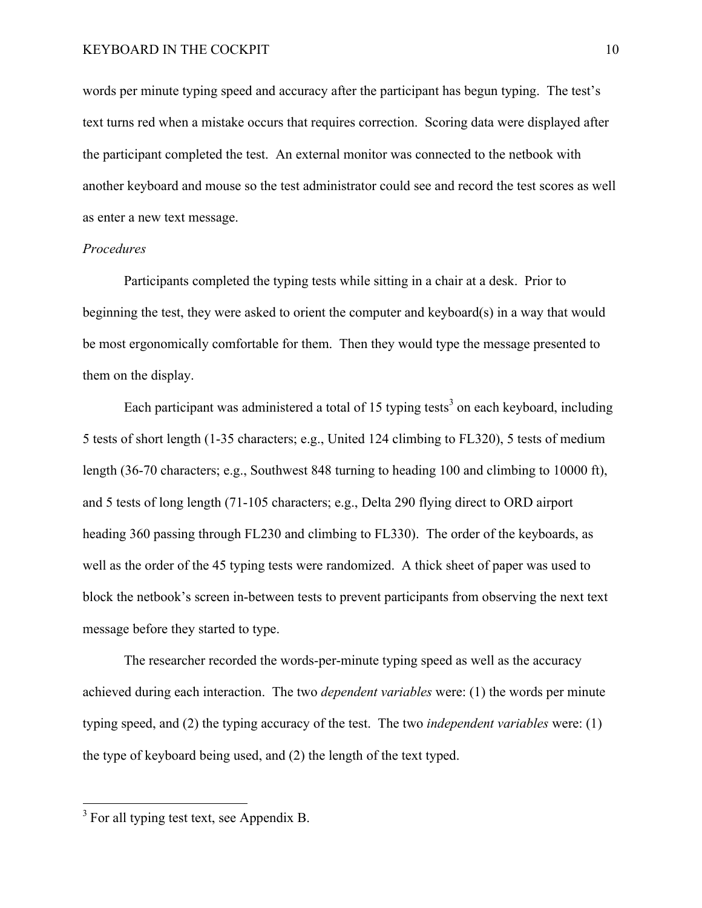words per minute typing speed and accuracy after the participant has begun typing. The test's text turns red when a mistake occurs that requires correction. Scoring data were displayed after the participant completed the test. An external monitor was connected to the netbook with another keyboard and mouse so the test administrator could see and record the test scores as well as enter a new text message.

## *Procedures*

Participants completed the typing tests while sitting in a chair at a desk. Prior to beginning the test, they were asked to orient the computer and keyboard(s) in a way that would be most ergonomically comfortable for them. Then they would type the message presented to them on the display.

Each participant was administered a total of 15 typing tests<sup>3</sup> on each keyboard, including 5 tests of short length (1-35 characters; e.g., United 124 climbing to FL320), 5 tests of medium length (36-70 characters; e.g., Southwest 848 turning to heading 100 and climbing to 10000 ft), and 5 tests of long length (71-105 characters; e.g., Delta 290 flying direct to ORD airport heading 360 passing through FL230 and climbing to FL330). The order of the keyboards, as well as the order of the 45 typing tests were randomized. A thick sheet of paper was used to block the netbook's screen in-between tests to prevent participants from observing the next text message before they started to type.

The researcher recorded the words-per-minute typing speed as well as the accuracy achieved during each interaction. The two *dependent variables* were: (1) the words per minute typing speed, and (2) the typing accuracy of the test. The two *independent variables* were: (1) the type of keyboard being used, and (2) the length of the text typed.

 $3$  For all typing test text, see Appendix B.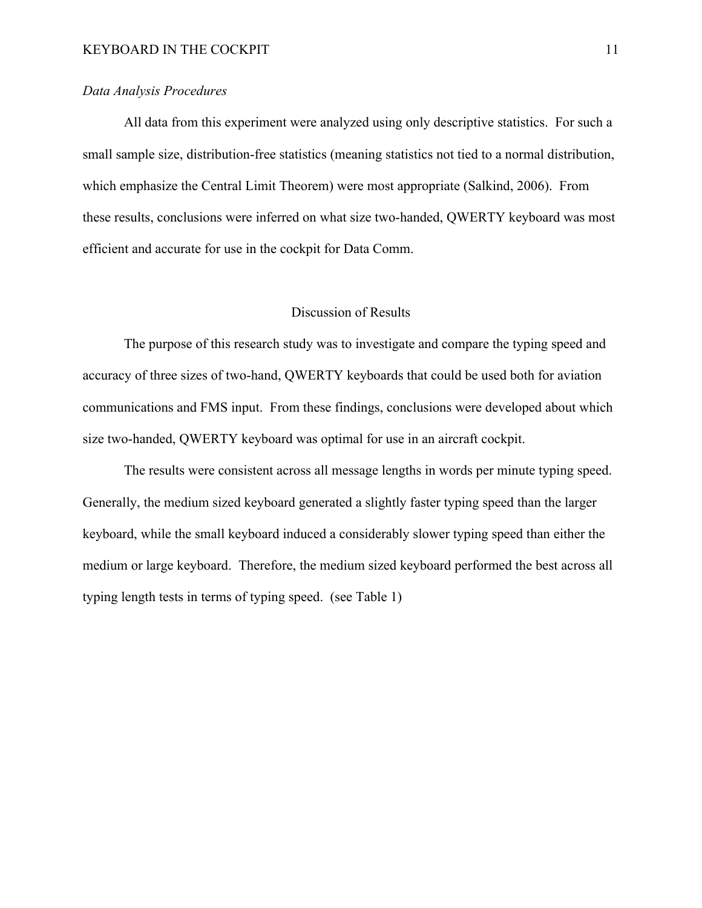## *Data Analysis Procedures*

All data from this experiment were analyzed using only descriptive statistics. For such a small sample size, distribution-free statistics (meaning statistics not tied to a normal distribution, which emphasize the Central Limit Theorem) were most appropriate (Salkind, 2006). From these results, conclusions were inferred on what size two-handed, QWERTY keyboard was most efficient and accurate for use in the cockpit for Data Comm.

## Discussion of Results

The purpose of this research study was to investigate and compare the typing speed and accuracy of three sizes of two-hand, QWERTY keyboards that could be used both for aviation communications and FMS input. From these findings, conclusions were developed about which size two-handed, QWERTY keyboard was optimal for use in an aircraft cockpit.

The results were consistent across all message lengths in words per minute typing speed. Generally, the medium sized keyboard generated a slightly faster typing speed than the larger keyboard, while the small keyboard induced a considerably slower typing speed than either the medium or large keyboard. Therefore, the medium sized keyboard performed the best across all typing length tests in terms of typing speed. (see Table 1)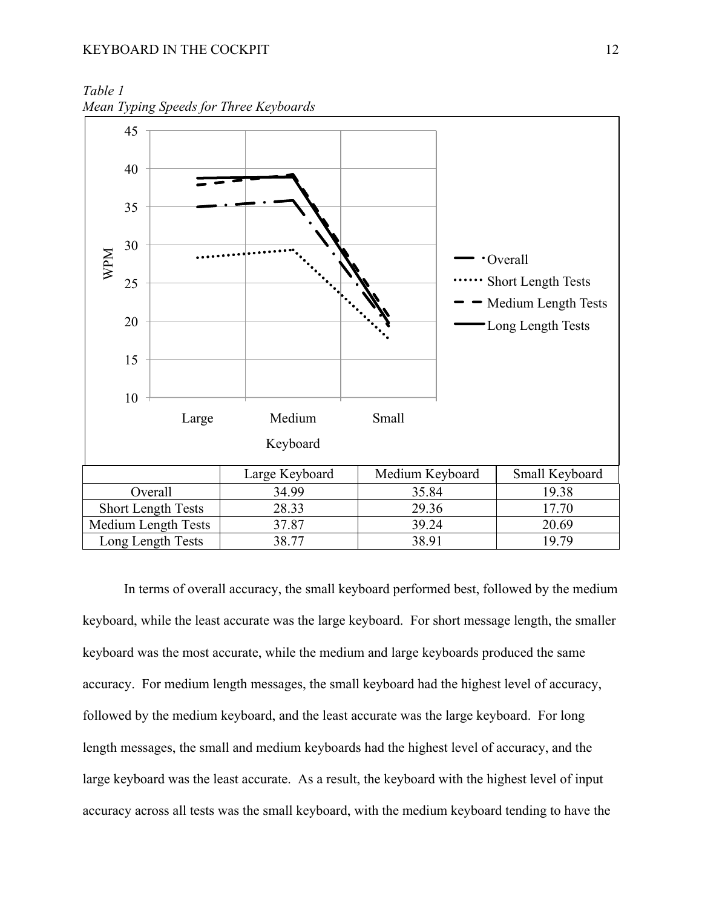*Table 1 Mean Typing Speeds for Three Keyboards*



In terms of overall accuracy, the small keyboard performed best, followed by the medium keyboard, while the least accurate was the large keyboard. For short message length, the smaller keyboard was the most accurate, while the medium and large keyboards produced the same accuracy. For medium length messages, the small keyboard had the highest level of accuracy, followed by the medium keyboard, and the least accurate was the large keyboard. For long length messages, the small and medium keyboards had the highest level of accuracy, and the large keyboard was the least accurate. As a result, the keyboard with the highest level of input accuracy across all tests was the small keyboard, with the medium keyboard tending to have the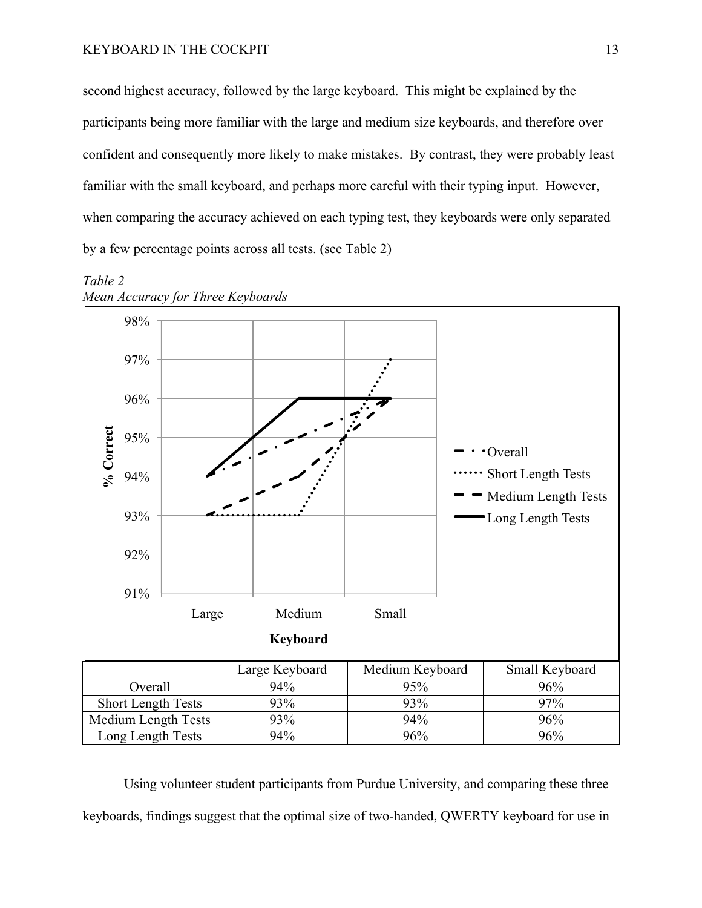second highest accuracy, followed by the large keyboard. This might be explained by the participants being more familiar with the large and medium size keyboards, and therefore over confident and consequently more likely to make mistakes. By contrast, they were probably least familiar with the small keyboard, and perhaps more careful with their typing input. However, when comparing the accuracy achieved on each typing test, they keyboards were only separated by a few percentage points across all tests. (see Table 2)



## *Table 2 Mean Accuracy for Three Keyboards*

Using volunteer student participants from Purdue University, and comparing these three keyboards, findings suggest that the optimal size of two-handed, QWERTY keyboard for use in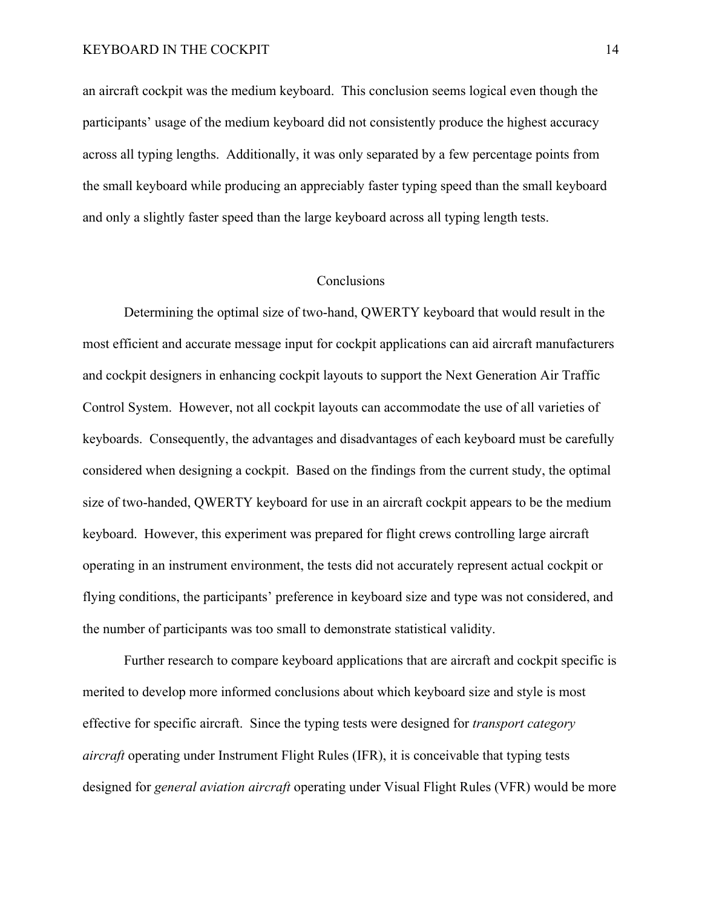## KEYBOARD IN THE COCKPIT 14

an aircraft cockpit was the medium keyboard. This conclusion seems logical even though the participants' usage of the medium keyboard did not consistently produce the highest accuracy across all typing lengths. Additionally, it was only separated by a few percentage points from the small keyboard while producing an appreciably faster typing speed than the small keyboard and only a slightly faster speed than the large keyboard across all typing length tests.

## **Conclusions**

Determining the optimal size of two-hand, QWERTY keyboard that would result in the most efficient and accurate message input for cockpit applications can aid aircraft manufacturers and cockpit designers in enhancing cockpit layouts to support the Next Generation Air Traffic Control System. However, not all cockpit layouts can accommodate the use of all varieties of keyboards. Consequently, the advantages and disadvantages of each keyboard must be carefully considered when designing a cockpit. Based on the findings from the current study, the optimal size of two-handed, QWERTY keyboard for use in an aircraft cockpit appears to be the medium keyboard. However, this experiment was prepared for flight crews controlling large aircraft operating in an instrument environment, the tests did not accurately represent actual cockpit or flying conditions, the participants' preference in keyboard size and type was not considered, and the number of participants was too small to demonstrate statistical validity.

Further research to compare keyboard applications that are aircraft and cockpit specific is merited to develop more informed conclusions about which keyboard size and style is most effective for specific aircraft. Since the typing tests were designed for *transport category aircraft* operating under Instrument Flight Rules (IFR), it is conceivable that typing tests designed for *general aviation aircraft* operating under Visual Flight Rules (VFR) would be more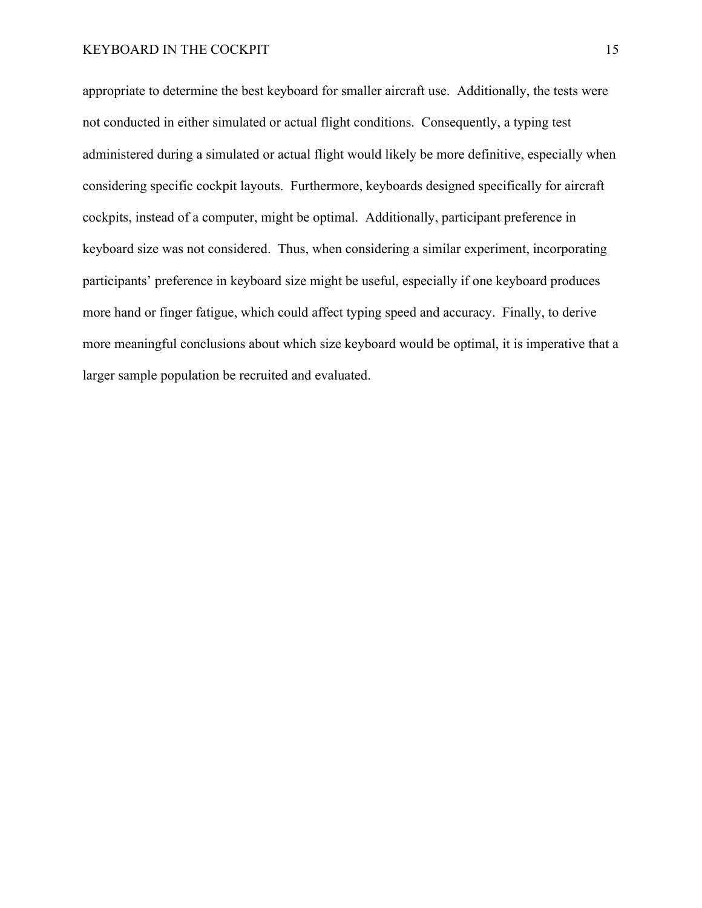appropriate to determine the best keyboard for smaller aircraft use. Additionally, the tests were not conducted in either simulated or actual flight conditions. Consequently, a typing test administered during a simulated or actual flight would likely be more definitive, especially when considering specific cockpit layouts. Furthermore, keyboards designed specifically for aircraft cockpits, instead of a computer, might be optimal. Additionally, participant preference in keyboard size was not considered. Thus, when considering a similar experiment, incorporating participants' preference in keyboard size might be useful, especially if one keyboard produces more hand or finger fatigue, which could affect typing speed and accuracy. Finally, to derive more meaningful conclusions about which size keyboard would be optimal, it is imperative that a larger sample population be recruited and evaluated.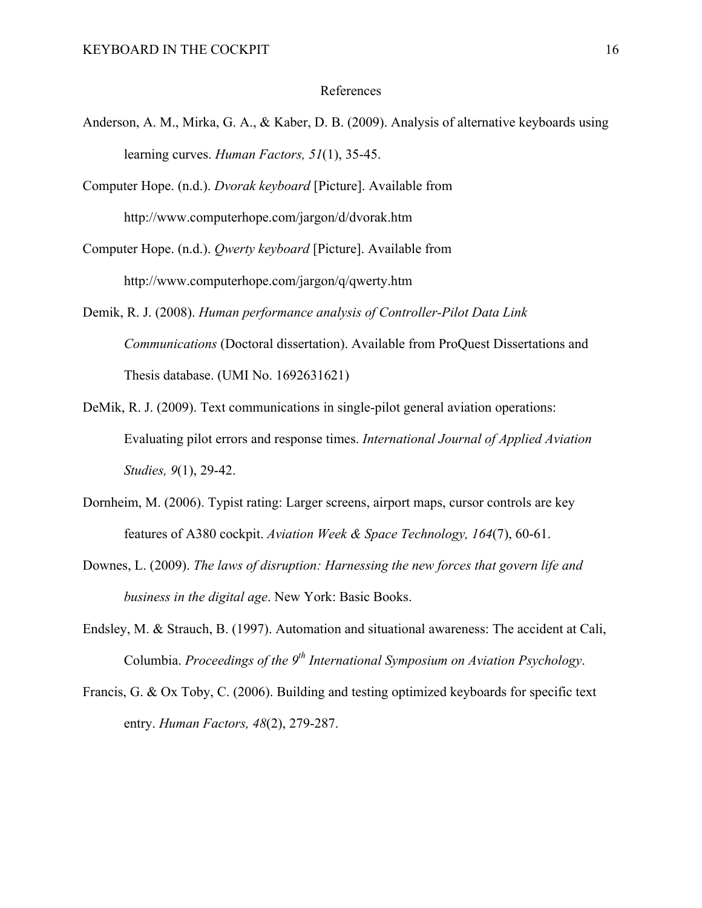## References

- Anderson, A. M., Mirka, G. A., & Kaber, D. B. (2009). Analysis of alternative keyboards using learning curves. *Human Factors, 51*(1), 35-45.
- Computer Hope. (n.d.). *Dvorak keyboard* [Picture]. Available from http://www.computerhope.com/jargon/d/dvorak.htm
- Computer Hope. (n.d.). *Qwerty keyboard* [Picture]. Available from http://www.computerhope.com/jargon/q/qwerty.htm
- Demik, R. J. (2008). *Human performance analysis of Controller-Pilot Data Link Communications* (Doctoral dissertation). Available from ProQuest Dissertations and Thesis database. (UMI No. 1692631621)
- DeMik, R. J. (2009). Text communications in single-pilot general aviation operations: Evaluating pilot errors and response times. *International Journal of Applied Aviation Studies, 9*(1), 29-42.
- Dornheim, M. (2006). Typist rating: Larger screens, airport maps, cursor controls are key features of A380 cockpit. *Aviation Week & Space Technology, 164*(7), 60-61.
- Downes, L. (2009). *The laws of disruption: Harnessing the new forces that govern life and business in the digital age*. New York: Basic Books.
- Endsley, M. & Strauch, B. (1997). Automation and situational awareness: The accident at Cali, Columbia. *Proceedings of the 9<sup>th</sup> International Symposium on Aviation Psychology*.
- Francis, G. & Ox Toby, C. (2006). Building and testing optimized keyboards for specific text entry. *Human Factors, 48*(2), 279-287.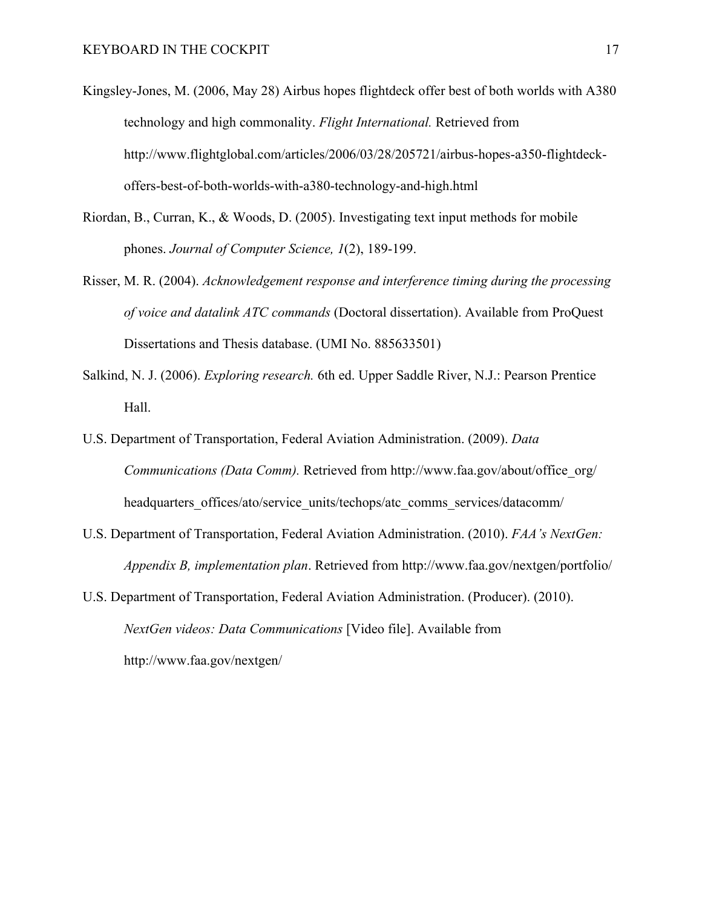- Kingsley-Jones, M. (2006, May 28) Airbus hopes flightdeck offer best of both worlds with A380 technology and high commonality. *Flight International.* Retrieved from http://www.flightglobal.com/articles/2006/03/28/205721/airbus-hopes-a350-flightdeckoffers-best-of-both-worlds-with-a380-technology-and-high.html
- Riordan, B., Curran, K., & Woods, D. (2005). Investigating text input methods for mobile phones. *Journal of Computer Science, 1*(2), 189-199.
- Risser, M. R. (2004). *Acknowledgement response and interference timing during the processing of voice and datalink ATC commands* (Doctoral dissertation). Available from ProQuest Dissertations and Thesis database. (UMI No. 885633501)
- Salkind, N. J. (2006). *Exploring research.* 6th ed. Upper Saddle River, N.J.: Pearson Prentice Hall.
- U.S. Department of Transportation, Federal Aviation Administration. (2009). *Data Communications (Data Comm).* Retrieved from http://www.faa.gov/about/office\_org/ headquarters offices/ato/service\_units/techops/atc\_comms\_services/datacomm/
- U.S. Department of Transportation, Federal Aviation Administration. (2010). *FAA's NextGen: Appendix B, implementation plan*. Retrieved from http://www.faa.gov/nextgen/portfolio/
- U.S. Department of Transportation, Federal Aviation Administration. (Producer). (2010). *NextGen videos: Data Communications* [Video file]. Available from http://www.faa.gov/nextgen/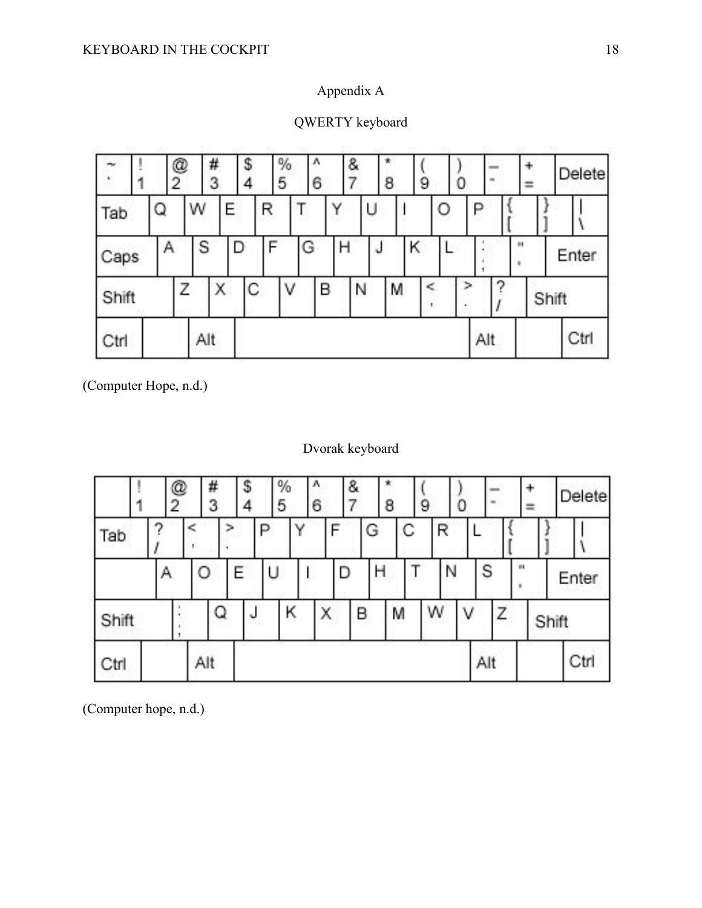# Appendix A

|       |  | @<br>2 |   | #<br>3 |     |        | s<br>4 | 5 | % |   | л<br>6 |   | & |  | 8 |  |   | υ |     |   |   |  |       | Delete |  |
|-------|--|--------|---|--------|-----|--------|--------|---|---|---|--------|---|---|--|---|--|---|---|-----|---|---|--|-------|--------|--|
| Tab   |  | Q      |   | W      |     | Ε      |        | R |   |   |        |   | U |  |   |  | O |   | ₽   |   |   |  |       |        |  |
| Caps  |  |        | Α |        | S   |        | D      | F |   | G |        | Η |   |  | Κ |  |   |   |     |   | и |  |       | Enter  |  |
| Shift |  |        |   |        |     | C<br>Χ |        |   | ٧ |   | B      |   | N |  | M |  |   |   | ⋗   | ≏ |   |  | Shift |        |  |
| Ctrl  |  |        |   |        | Alt |        |        |   |   |   |        |   |   |  |   |  |   |   | Alt |   |   |  |       | Ctrl   |  |

QWERTY keyboard

(Computer Hope, n.d.)

## Dvorak keyboard

|      |       |   | @<br>2 |   | #<br>3 | s |    | %<br>5 |        | ۸<br>6 | &           |   | 8 |   | 9 | U |   | $\equiv$ |    | ≕     |  | Delete |  |
|------|-------|---|--------|---|--------|---|----|--------|--------|--------|-------------|---|---|---|---|---|---|----------|----|-------|--|--------|--|
| Tab  |       |   |        |   |        |   |    |        | Y      |        |             | G |   | C |   | R |   |          |    |       |  |        |  |
|      |       | Α |        | О |        | E | ΙU |        |        |        | D           | н |   |   |   | N |   | S        | 68 |       |  | Enter  |  |
|      | Shift |   |        |   | Q      |   |    | Κ      |        | Χ      |             | B |   | M | w |   | ν | Ζ        |    | Shift |  |        |  |
| Ctrl |       |   |        |   | Alt    |   |    |        | $\sim$ |        | <b>Sec.</b> |   | × |   |   |   |   | Alt      |    |       |  | Ctrl   |  |

(Computer hope, n.d.)